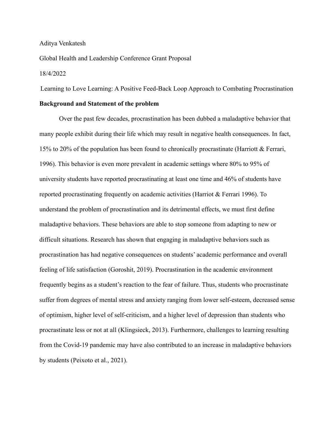#### Aditya Venkatesh

Global Health and Leadership Conference Grant Proposal

#### 18/4/2022

Learning to Love Learning: A Positive Feed-Back Loop Approach to Combating Procrastination

## **Background and Statement of the problem**

Over the past few decades, procrastination has been dubbed a maladaptive behavior that many people exhibit during their life which may result in negative health consequences. In fact, 15% to 20% of the population has been found to chronically procrastinate (Harriott & Ferrari, 1996). This behavior is even more prevalent in academic settings where 80% to 95% of university students have reported procrastinating at least one time and 46% of students have reported procrastinating frequently on academic activities (Harriot & Ferrari 1996). To understand the problem of procrastination and its detrimental effects, we must first define maladaptive behaviors. These behaviors are able to stop someone from adapting to new or difficult situations. Research has shown that engaging in maladaptive behaviors such as procrastination has had negative consequences on students' academic performance and overall feeling of life satisfaction (Goroshit, 2019). Procrastination in the academic environment frequently begins as a student's reaction to the fear of failure. Thus, students who procrastinate suffer from degrees of mental stress and anxiety ranging from lower self-esteem, decreased sense of optimism, higher level of self-criticism, and a higher level of depression than students who procrastinate less or not at all (Klingsieck, 2013). Furthermore, challenges to learning resulting from the Covid-19 pandemic may have also contributed to an increase in maladaptive behaviors by students (Peixoto et al., 2021).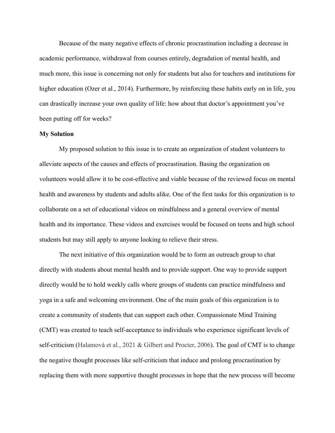Because of the many negative effects of chronic procrastination including a decrease in academic performance, withdrawal from courses entirely, degradation of mental health, and much more, this issue is concerning not only for students but also for teachers and institutions for higher education (Ozer et al., 2014). Furthermore, by reinforcing these habits early on in life, you can drastically increase your own quality of life: how about that doctor's appointment you've been putting off for weeks?

### **My Solution**

My proposed solution to this issue is to create an organization of student volunteers to alleviate aspects of the causes and effects of procrastination. Basing the organization on volunteers would allow it to be cost-effective and viable because of the reviewed focus on mental health and awareness by students and adults alike. One of the first tasks for this organization is to collaborate on a set of educational videos on mindfulness and a general overview of mental health and its importance. These videos and exercises would be focused on teens and high school students but may still apply to anyone looking to relieve their stress.

The next initiative of this organization would be to form an outreach group to chat directly with students about mental health and to provide support. One way to provide support directly would be to hold weekly calls where groups of students can practice mindfulness and yoga in a safe and welcoming environment. One of the main goals of this organization is to create a community of students that can support each other. Compassionate Mind Training (CMT) was created to teach self-acceptance to individuals who experience significant levels of self-criticism (Halamová et al., 2021 & Gilbert and Procter, 2006). The goal of CMT is to change the negative thought processes like self-criticism that induce and prolong procrastination by replacing them with more supportive thought processes in hope that the new process will become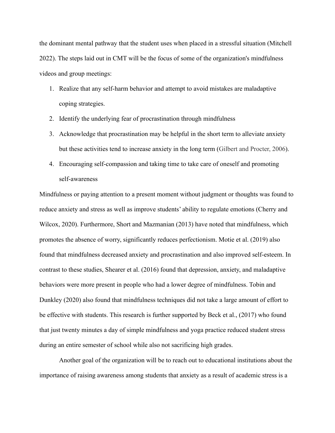the dominant mental pathway that the student uses when placed in a stressful situation (Mitchell 2022). The steps laid out in CMT will be the focus of some of the organization's mindfulness videos and group meetings:

- 1. Realize that any self-harm behavior and attempt to avoid mistakes are maladaptive coping strategies.
- 2. Identify the underlying fear of procrastination through mindfulness
- 3. Acknowledge that procrastination may be helpful in the short term to alleviate anxiety but these activities tend to increase anxiety in the long term (Gilbert and Procter, 2006).
- 4. Encouraging self-compassion and taking time to take care of oneself and promoting self-awareness

Mindfulness or paying attention to a present moment without judgment or thoughts was found to reduce anxiety and stress as well as improve students' ability to regulate emotions (Cherry and Wilcox, 2020). Furthermore, Short and Mazmanian (2013) have noted that mindfulness, which promotes the absence of worry, significantly reduces perfectionism. Motie et al. (2019) also found that mindfulness decreased anxiety and procrastination and also improved self-esteem. In contrast to these studies, Shearer et al. (2016) found that depression, anxiety, and maladaptive behaviors were more present in people who had a lower degree of mindfulness. Tobin and Dunkley (2020) also found that mindfulness techniques did not take a large amount of effort to be effective with students. This research is further supported by Beck et al., (2017) who found that just twenty minutes a day of simple mindfulness and yoga practice reduced student stress during an entire semester of school while also not sacrificing high grades.

Another goal of the organization will be to reach out to educational institutions about the importance of raising awareness among students that anxiety as a result of academic stress is a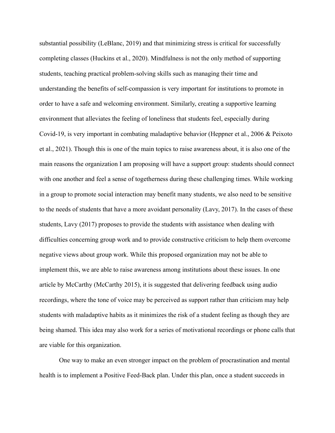substantial possibility (LeBlanc, 2019) and that minimizing stress is critical for successfully completing classes (Huckins et al., 2020). Mindfulness is not the only method of supporting students, teaching practical problem-solving skills such as managing their time and understanding the benefits of self-compassion is very important for institutions to promote in order to have a safe and welcoming environment. Similarly, creating a supportive learning environment that alleviates the feeling of loneliness that students feel, especially during Covid-19, is very important in combating maladaptive behavior (Heppner et al., 2006 & Peixoto et al., 2021). Though this is one of the main topics to raise awareness about, it is also one of the main reasons the organization I am proposing will have a support group: students should connect with one another and feel a sense of togetherness during these challenging times. While working in a group to promote social interaction may benefit many students, we also need to be sensitive to the needs of students that have a more avoidant personality (Lavy, 2017). In the cases of these students, Lavy (2017) proposes to provide the students with assistance when dealing with difficulties concerning group work and to provide constructive criticism to help them overcome negative views about group work. While this proposed organization may not be able to implement this, we are able to raise awareness among institutions about these issues. In one article by McCarthy (McCarthy 2015), it is suggested that delivering feedback using audio recordings, where the tone of voice may be perceived as support rather than criticism may help students with maladaptive habits as it minimizes the risk of a student feeling as though they are being shamed. This idea may also work for a series of motivational recordings or phone calls that are viable for this organization.

One way to make an even stronger impact on the problem of procrastination and mental health is to implement a Positive Feed-Back plan. Under this plan, once a student succeeds in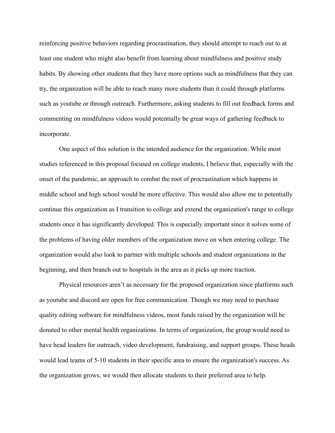reinforcing positive behaviors regarding procrastination, they should attempt to reach out to at least one student who might also benefit from learning about mindfulness and positive study habits. By showing other students that they have more options such as mindfulness that they can try, the organization will be able to reach many more students than it could through platforms such as youtube or through outreach. Furthermore, asking students to fill out feedback forms and commenting on mindfulness videos would potentially be great ways of gathering feedback to incorporate.

One aspect of this solution is the intended audience for the organization. While most studies referenced in this proposal focused on college students, I believe that, especially with the onset of the pandemic, an approach to combat the root of procrastination which happens in middle school and high school would be more effective. This would also allow me to potentially continue this organization as I transition to college and extend the organization's range to college students once it has significantly developed. This is especially important since it solves some of the problems of having older members of the organization move on when entering college. The organization would also look to partner with multiple schools and student organizations in the beginning, and then branch out to hospitals in the area as it picks up more traction.

Physical resources aren't as necessary for the proposed organization since platforms such as youtube and discord are open for free communication. Though we may need to purchase quality editing software for mindfulness videos, most funds raised by the organization will be donated to other mental health organizations. In terms of organization, the group would need to have head leaders for outreach, video development, fundraising, and support groups. These heads would lead teams of 5-10 students in their specific area to ensure the organization's success. As the organization grows, we would then allocate students to their preferred area to help.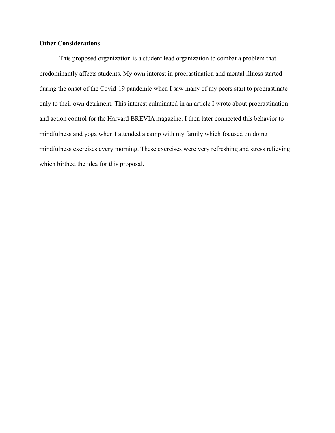# **Other Considerations**

This proposed organization is a student lead organization to combat a problem that predominantly affects students. My own interest in procrastination and mental illness started during the onset of the Covid-19 pandemic when I saw many of my peers start to procrastinate only to their own detriment. This interest culminated in an article I wrote about procrastination and action control for the Harvard BREVIA magazine. I then later connected this behavior to mindfulness and yoga when I attended a camp with my family which focused on doing mindfulness exercises every morning. These exercises were very refreshing and stress relieving which birthed the idea for this proposal.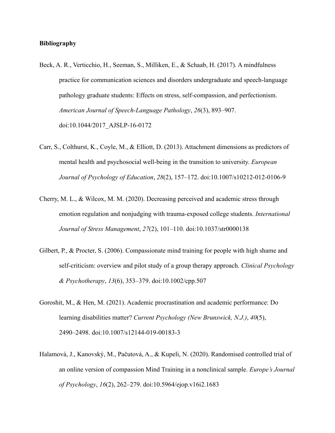## **Bibliography**

- Beck, A. R., Verticchio, H., Seeman, S., Milliken, E., & Schaab, H. (2017). A mindfulness practice for communication sciences and disorders undergraduate and speech-language pathology graduate students: Effects on stress, self-compassion, and perfectionism. *American Journal of Speech-Language Pathology*, *26*(3), 893–907. doi:10.1044/2017\_AJSLP-16-0172
- Carr, S., Colthurst, K., Coyle, M., & Elliott, D. (2013). Attachment dimensions as predictors of mental health and psychosocial well-being in the transition to university. *European Journal of Psychology of Education*, *28*(2), 157–172. doi:10.1007/s10212-012-0106-9
- Cherry, M. L., & Wilcox, M. M. (2020). Decreasing perceived and academic stress through emotion regulation and nonjudging with trauma-exposed college students. *International Journal of Stress Management*, *27*(2), 101–110. doi:10.1037/str0000138
- Gilbert, P., & Procter, S. (2006). Compassionate mind training for people with high shame and self-criticism: overview and pilot study of a group therapy approach. *Clinical Psychology & Psychotherapy*, *13*(6), 353–379. doi:10.1002/cpp.507
- Goroshit, M., & Hen, M. (2021). Academic procrastination and academic performance: Do learning disabilities matter? *Current Psychology (New Brunswick, N.J.)*, *40*(5), 2490–2498. doi:10.1007/s12144-019-00183-3
- Halamová, J., Kanovský, M., Pačutová, A., & Kupeli, N. (2020). Randomised controlled trial of an online version of compassion Mind Training in a nonclinical sample. *Europe's Journal of Psychology*, *16*(2), 262–279. doi:10.5964/ejop.v16i2.1683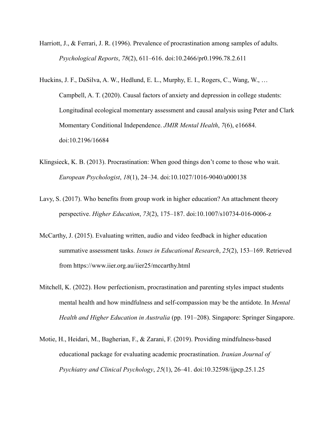- Harriott, J., & Ferrari, J. R. (1996). Prevalence of procrastination among samples of adults. *Psychological Reports*, *78*(2), 611–616. doi:10.2466/pr0.1996.78.2.611
- Huckins, J. F., DaSilva, A. W., Hedlund, E. L., Murphy, E. I., Rogers, C., Wang, W., … Campbell, A. T. (2020). Causal factors of anxiety and depression in college students: Longitudinal ecological momentary assessment and causal analysis using Peter and Clark Momentary Conditional Independence. *JMIR Mental Health*, *7*(6), e16684. doi:10.2196/16684
- Klingsieck, K. B. (2013). Procrastination: When good things don't come to those who wait. *European Psychologist*, *18*(1), 24–34. doi:10.1027/1016-9040/a000138
- Lavy, S. (2017). Who benefits from group work in higher education? An attachment theory perspective. *Higher Education*, *73*(2), 175–187. doi:10.1007/s10734-016-0006-z
- McCarthy, J. (2015). Evaluating written, audio and video feedback in higher education summative assessment tasks. *Issues in Educational Research*, *25*(2), 153–169. Retrieved from https://www.iier.org.au/iier25/mccarthy.html
- Mitchell, K. (2022). How perfectionism, procrastination and parenting styles impact students mental health and how mindfulness and self-compassion may be the antidote. In *Mental Health and Higher Education in Australia* (pp. 191–208). Singapore: Springer Singapore.
- Motie, H., Heidari, M., Bagherian, F., & Zarani, F. (2019). Providing mindfulness-based educational package for evaluating academic procrastination. *Iranian Journal of Psychiatry and Clinical Psychology*, *25*(1), 26–41. doi:10.32598/ijpcp.25.1.25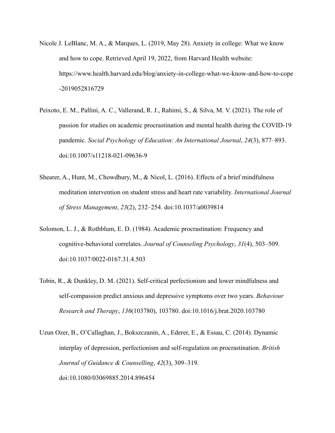- Nicole J. LeBlanc, M. A., & Marques, L. (2019, May 28). Anxiety in college: What we know and how to cope. Retrieved April 19, 2022, from Harvard Health website: https://www.health.harvard.edu/blog/anxiety-in-college-what-we-know-and-how-to-cope -2019052816729
- Peixoto, E. M., Pallini, A. C., Vallerand, R. J., Rahimi, S., & Silva, M. V. (2021). The role of passion for studies on academic procrastination and mental health during the COVID-19 pandemic. *Social Psychology of Education: An International Journal*, *24*(3), 877–893. doi:10.1007/s11218-021-09636-9
- Shearer, A., Hunt, M., Chowdhury, M., & Nicol, L. (2016). Effects of a brief mindfulness meditation intervention on student stress and heart rate variability. *International Journal of Stress Management*, *23*(2), 232–254. doi:10.1037/a0039814
- Solomon, L. J., & Rothblum, E. D. (1984). Academic procrastination: Frequency and cognitive-behavioral correlates. *Journal of Counseling Psychology*, *31*(4), 503–509. doi:10.1037/0022-0167.31.4.503
- Tobin, R., & Dunkley, D. M. (2021). Self-critical perfectionism and lower mindfulness and self-compassion predict anxious and depressive symptoms over two years. *Behaviour Research and Therapy*, *136*(103780), 103780. doi:10.1016/j.brat.2020.103780
- Uzun Ozer, B., O'Callaghan, J., Bokszczanin, A., Ederer, E., & Essau, C. (2014). Dynamic interplay of depression, perfectionism and self-regulation on procrastination. *British Journal of Guidance & Counselling*, *42*(3), 309–319. doi:10.1080/03069885.2014.896454